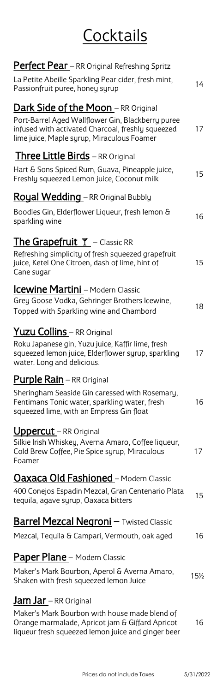# **Cocktails**

| <b>Perfect Pear</b> - RR Original Refreshing Spritz<br>La Petite Abeille Sparkling Pear cider, fresh mint,<br>Passionfruit puree, honey syrup                                                      | 14  |
|----------------------------------------------------------------------------------------------------------------------------------------------------------------------------------------------------|-----|
| <b>Dark Side of the Moon</b> - RR Original<br>Port-Barrel Aged Wallflower Gin, Blackberry puree<br>infused with activated Charcoal, freshly squeezed<br>lime juice, Maple syrup, Miraculous Foamer | 17  |
| <b>Three Little Birds</b> - RR Original                                                                                                                                                            |     |
| Hart & Sons Spiced Rum, Guava, Pineapple juice,<br>Freshly squeezed Lemon juice, Coconut milk                                                                                                      | 15  |
| <b>Royal Wedding</b> - RR Original Bubbly                                                                                                                                                          |     |
| Boodles Gin, Elderflower Liqueur, fresh lemon &<br>sparkling wine                                                                                                                                  | 16  |
| <b>The Grapefruit <math>\mathbb{Y}</math></b> – Classic RR                                                                                                                                         |     |
| Refreshing simplicity of fresh squeezed grapefruit<br>juice, Ketel One Citroen, dash of lime, hint of<br>Cane sugar                                                                                | 15  |
| Icewine Martini - Modern Classic                                                                                                                                                                   |     |
| Grey Goose Vodka, Gehringer Brothers Icewine,<br>Topped with Sparkling wine and Chambord                                                                                                           | 18  |
| <b>Yuzu Collins</b> – RR Original                                                                                                                                                                  |     |
| Roku Japanese gin, Yuzu juice, Kaffir lime, fresh<br>squeezed lemon juice, Elderflower syrup, sparkling<br>water. Long and delicious.                                                              | 17  |
| <b>Purple Rain</b> – RR Original                                                                                                                                                                   |     |
| Sheringham Seaside Gin caressed with Rosemary,<br>Fentimans Tonic water, sparkling water, fresh<br>squeezed lime, with an Empress Gin float                                                        | 16  |
| <b>Uppercut</b> – RR Original                                                                                                                                                                      |     |
| Silkie Irish Whiskey, Averna Amaro, Coffee liqueur,<br>Cold Brew Coffee, Pie Spice syrup, Miraculous<br>Foamer                                                                                     | 17  |
| <u> <b>Oaxaca Old Fashioned</b> – Modern Classic</u>                                                                                                                                               |     |
| 400 Conejos Espadin Mezcal, Gran Centenario Plata<br>tequila, agave syrup, Oaxaca bitters                                                                                                          | 15  |
| <b>Barrel Mezcal Negroni</b> - Twisted Classic                                                                                                                                                     |     |
| Mezcal, Tequila & Campari, Vermouth, oak aged                                                                                                                                                      | 16  |
|                                                                                                                                                                                                    |     |
| <b>Paper Plane</b> - Modern Classic                                                                                                                                                                |     |
| Maker's Mark Bourbon, Aperol & Averna Amaro,<br>Shaken with fresh squeezed lemon Juice                                                                                                             | 15½ |
| <u>Jam Jar – RR Original</u>                                                                                                                                                                       |     |
| Maker's Mark Bourbon with house made blend of<br>Orange marmalade, Apricot jam & Giffard Apricot<br>liqueur fresh squeezed lemon juice and ginger beer                                             | 16  |